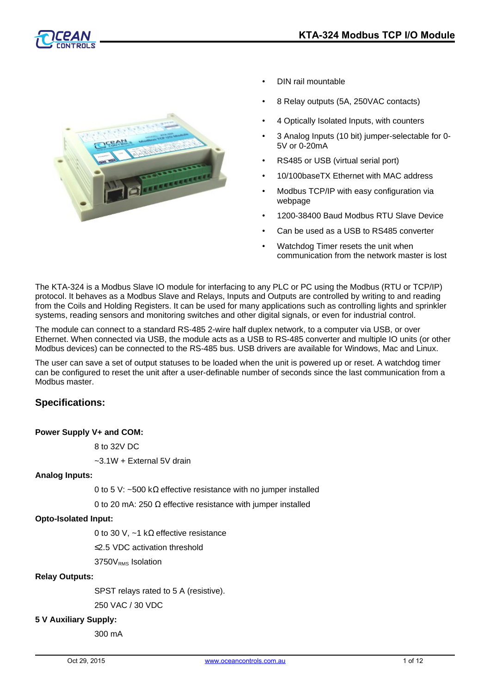



- DIN rail mountable
- 8 Relay outputs (5A, 250VAC contacts)
- 4 Optically Isolated Inputs, with counters
- 3 Analog Inputs (10 bit) jumper-selectable for 0- 5V or 0-20mA
- RS485 or USB (virtual serial port)
- 10/100baseTX Ethernet with MAC address
- Modbus TCP/IP with easy configuration via webpage
- 1200-38400 Baud Modbus RTU Slave Device
- Can be used as a USB to RS485 converter
- Watchdog Timer resets the unit when communication from the network master is lost

The KTA-324 is a Modbus Slave IO module for interfacing to any PLC or PC using the Modbus (RTU or TCP/IP) protocol. It behaves as a Modbus Slave and Relays, Inputs and Outputs are controlled by writing to and reading from the Coils and Holding Registers. It can be used for many applications such as controlling lights and sprinkler systems, reading sensors and monitoring switches and other digital signals, or even for industrial control.

The module can connect to a standard RS-485 2-wire half duplex network, to a computer via USB, or over Ethernet. When connected via USB, the module acts as a USB to RS-485 converter and multiple IO units (or other Modbus devices) can be connected to the RS-485 bus. USB drivers are available for Windows, Mac and Linux.

The user can save a set of output statuses to be loaded when the unit is powered up or reset. A watchdog timer can be configured to reset the unit after a user-definable number of seconds since the last communication from a Modbus master.

# **Specifications:**

#### **Power Supply V+ and COM:**

8 to 32V DC

~3.1W + External 5V drain

#### **Analog Inputs:**

0 to 5 V: ~500 k $\Omega$  effective resistance with no jumper installed

0 to 20 mA: 250  $Ω$  effective resistance with jumper installed

#### **Opto-Isolated Input:**

0 to 30 V,  $~1$  k $\Omega$  effective resistance

≤2.5 VDC activation threshold

3750V<sub>RMS</sub> Isolation

#### **Relay Outputs:**

SPST relays rated to 5 A (resistive).

250 VAC / 30 VDC

#### **5 V Auxiliary Supply:**

300 mA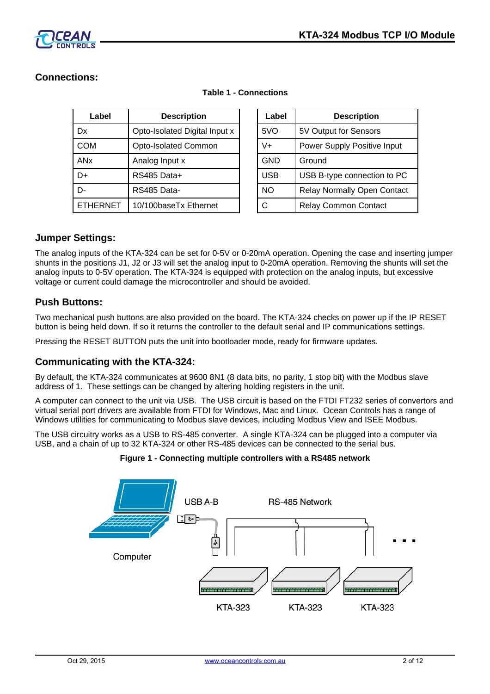

# **Connections:**

| Label                 | <b>Description</b>            |  | Label      | <b>Description</b>                 |
|-----------------------|-------------------------------|--|------------|------------------------------------|
| Dx                    | Opto-Isolated Digital Input x |  | 5VO        | 5V Output for Sensors              |
| <b>COM</b>            | Opto-Isolated Common          |  | V+         | Power Supply Positive Input        |
| <b>AN<sub>x</sub></b> | Analog Input x                |  | <b>GND</b> | Ground                             |
| D+                    | RS485 Data+                   |  | <b>USB</b> | USB B-type connection to PC        |
| D-                    | RS485 Data-                   |  | <b>NO</b>  | <b>Relay Normally Open Contact</b> |
| <b>ETHERNET</b>       | 10/100baseTx Ethernet         |  | C          | <b>Relay Common Contact</b>        |

| Label      | <b>Description</b>                 |
|------------|------------------------------------|
| 5VO        | 5V Output for Sensors              |
| $V +$      | Power Supply Positive Input        |
| <b>GND</b> | Ground                             |
| <b>USB</b> | USB B-type connection to PC        |
| <b>NO</b>  | <b>Relay Normally Open Contact</b> |
| C          | <b>Relay Common Contact</b>        |

## **Table 1 - Connections**

# **Jumper Settings:**

The analog inputs of the KTA-324 can be set for 0-5V or 0-20mA operation. Opening the case and inserting jumper shunts in the positions J1, J2 or J3 will set the analog input to 0-20mA operation. Removing the shunts will set the analog inputs to 0-5V operation. The KTA-324 is equipped with protection on the analog inputs, but excessive voltage or current could damage the microcontroller and should be avoided.

# **Push Buttons:**

Two mechanical push buttons are also provided on the board. The KTA-324 checks on power up if the IP RESET button is being held down. If so it returns the controller to the default serial and IP communications settings.

Pressing the RESET BUTTON puts the unit into bootloader mode, ready for firmware updates.

## **Communicating with the KTA-324:**

By default, the KTA-324 communicates at 9600 8N1 (8 data bits, no parity, 1 stop bit) with the Modbus slave address of 1. These settings can be changed by altering holding registers in the unit.

A computer can connect to the unit via USB. The USB circuit is based on the FTDI FT232 series of convertors and virtual serial port drivers are available from FTDI for Windows, Mac and Linux. Ocean Controls has a range of Windows utilities for communicating to Modbus slave devices, including Modbus View and ISEE Modbus.

The USB circuitry works as a USB to RS-485 converter. A single KTA-324 can be plugged into a computer via USB, and a chain of up to 32 KTA-324 or other RS-485 devices can be connected to the serial bus.

#### **Figure 1 - Connecting multiple controllers with a RS485 network**

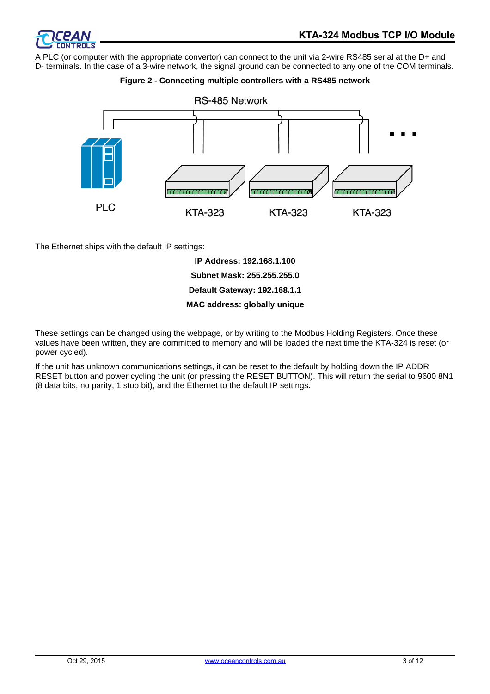

A PLC (or computer with the appropriate convertor) can connect to the unit via 2-wire RS485 serial at the D+ and D- terminals. In the case of a 3-wire network, the signal ground can be connected to any one of the COM terminals.

### **Figure 2 - Connecting multiple controllers with a RS485 network**



The Ethernet ships with the default IP settings:

**IP Address: 192.168.1.100 Subnet Mask: 255.255.255.0 Default Gateway: 192.168.1.1 MAC address: globally unique**

These settings can be changed using the webpage, or by writing to the Modbus Holding Registers. Once these values have been written, they are committed to memory and will be loaded the next time the KTA-324 is reset (or power cycled).

If the unit has unknown communications settings, it can be reset to the default by holding down the IP ADDR RESET button and power cycling the unit (or pressing the RESET BUTTON). This will return the serial to 9600 8N1 (8 data bits, no parity, 1 stop bit), and the Ethernet to the default IP settings.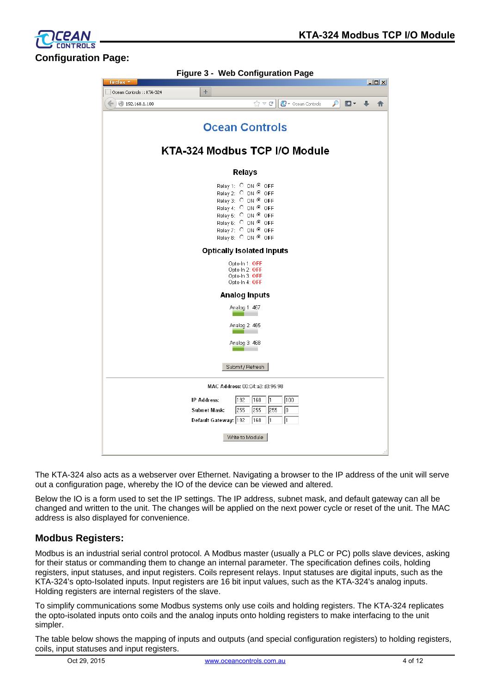פ וחם **Configuration Page:**

| Figure 3 - Web Configuration Page |                                                                                                                                                                                                                                         |              |
|-----------------------------------|-----------------------------------------------------------------------------------------------------------------------------------------------------------------------------------------------------------------------------------------|--------------|
| Firefox <b>*</b>                  |                                                                                                                                                                                                                                         | $-10x$       |
| Ocean Controls :: KTA-324         | ÷                                                                                                                                                                                                                                       |              |
| $\leftarrow$   192.168.1.100      | $\mathcal{P}$<br>$\mathbf{C}$ $\sim$ Ocean Controls<br>$\mathbb{Z} \times G$                                                                                                                                                            | ß-<br>J<br>侖 |
|                                   | <b>Ocean Controls</b>                                                                                                                                                                                                                   |              |
|                                   | KTA-324 Modbus TCP I/O Module                                                                                                                                                                                                           |              |
|                                   | Relays                                                                                                                                                                                                                                  |              |
|                                   | Relay 1: $\heartsuit$ ON $\heartsuit$ OFF<br>Relay 2: $\bigcirc$ ON $\bigcirc$ OFF<br>Relay 3: ○ ON <sup>◎</sup> OFF<br>Relay 4: C ON @ OFF<br>Relay 5: C ON @ OFF<br>Relay 6: C ON @ OFF<br>Relay 7: C ON @ OFF<br>Relay 8: ○ ON © OFF |              |
|                                   | <b>Optically Isolated Inputs</b>                                                                                                                                                                                                        |              |
|                                   | Opto-In 1: OFF<br>Opto-In 2: OFF<br>Opto-In 3: OFF<br>Opto-In 4: OFF                                                                                                                                                                    |              |
|                                   | Analog Inputs                                                                                                                                                                                                                           |              |
|                                   | Analog 1: 467                                                                                                                                                                                                                           |              |
|                                   | Analog 2: 465                                                                                                                                                                                                                           |              |
|                                   | Analog 3: 468                                                                                                                                                                                                                           |              |
|                                   |                                                                                                                                                                                                                                         |              |
|                                   | Submit / Refresh                                                                                                                                                                                                                        |              |
|                                   | MAC Address: 00:04: a3: d3:95:98                                                                                                                                                                                                        |              |
|                                   | 100<br><b>IP Address:</b><br>192<br>168<br>I1                                                                                                                                                                                           |              |
|                                   | 255<br>255<br>255<br>10<br><b>Subnet Mask:</b>                                                                                                                                                                                          |              |
|                                   | Default Gateway: 192<br>168<br>l1<br>l1                                                                                                                                                                                                 |              |
|                                   | Write to Module                                                                                                                                                                                                                         |              |
|                                   |                                                                                                                                                                                                                                         |              |

The KTA-324 also acts as a webserver over Ethernet. Navigating a browser to the IP address of the unit will serve out a configuration page, whereby the IO of the device can be viewed and altered.

Below the IO is a form used to set the IP settings. The IP address, subnet mask, and default gateway can all be changed and written to the unit. The changes will be applied on the next power cycle or reset of the unit. The MAC address is also displayed for convenience.

# **Modbus Registers:**

Modbus is an industrial serial control protocol. A Modbus master (usually a PLC or PC) polls slave devices, asking for their status or commanding them to change an internal parameter. The specification defines coils, holding registers, input statuses, and input registers. Coils represent relays. Input statuses are digital inputs, such as the KTA-324's opto-Isolated inputs. Input registers are 16 bit input values, such as the KTA-324's analog inputs. Holding registers are internal registers of the slave.

To simplify communications some Modbus systems only use coils and holding registers. The KTA-324 replicates the opto-isolated inputs onto coils and the analog inputs onto holding registers to make interfacing to the unit simpler.

The table below shows the mapping of inputs and outputs (and special configuration registers) to holding registers, coils, input statuses and input registers.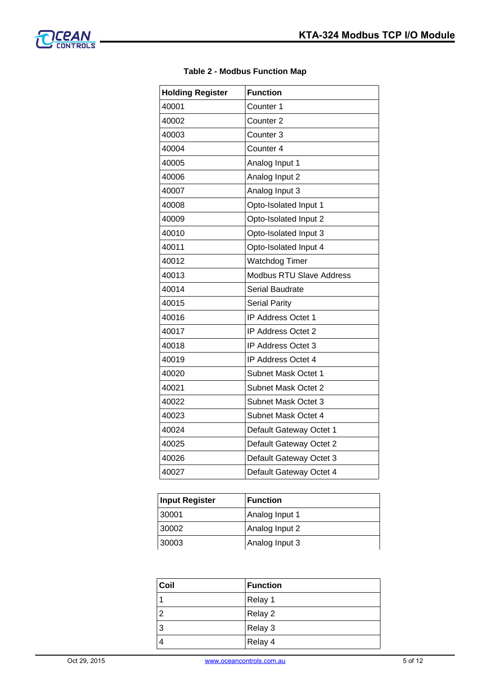

| <b>Holding Register</b> | <b>Function</b>                 |
|-------------------------|---------------------------------|
| 40001                   | Counter <sub>1</sub>            |
| 40002                   | Counter <sub>2</sub>            |
| 40003                   | Counter <sub>3</sub>            |
| 40004                   | Counter 4                       |
| 40005                   | Analog Input 1                  |
| 40006                   | Analog Input 2                  |
| 40007                   | Analog Input 3                  |
| 40008                   | Opto-Isolated Input 1           |
| 40009                   | Opto-Isolated Input 2           |
| 40010                   | Opto-Isolated Input 3           |
| 40011                   | Opto-Isolated Input 4           |
| 40012                   | <b>Watchdog Timer</b>           |
| 40013                   | <b>Modbus RTU Slave Address</b> |
| 40014                   | Serial Baudrate                 |
| 40015                   | <b>Serial Parity</b>            |
| 40016                   | IP Address Octet 1              |
| 40017                   | IP Address Octet 2              |
| 40018                   | <b>IP Address Octet 3</b>       |
| 40019                   | IP Address Octet 4              |
| 40020                   | Subnet Mask Octet 1             |
| 40021                   | Subnet Mask Octet 2             |
| 40022                   | Subnet Mask Octet 3             |
| 40023                   | Subnet Mask Octet 4             |
| 40024                   | Default Gateway Octet 1         |
| 40025                   | Default Gateway Octet 2         |
| 40026                   | Default Gateway Octet 3         |
| 40027                   | Default Gateway Octet 4         |

## **Table 2 - Modbus Function Map**

| <b>Input Register</b> | <b>Function</b> |
|-----------------------|-----------------|
| 30001                 | Analog Input 1  |
| 30002                 | Analog Input 2  |
| 30003                 | Analog Input 3  |

| Coil | <b>Function</b> |
|------|-----------------|
|      | Relay 1         |
| 2    | Relay 2         |
| 3    | Relay 3         |
|      | Relay 4         |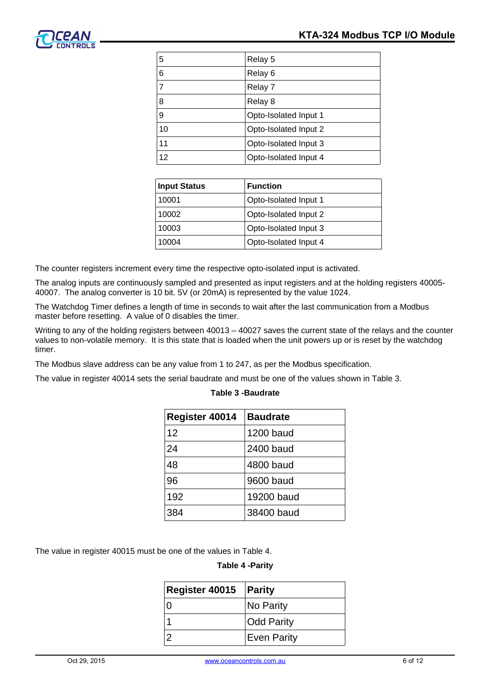

| 5  | Relay 5               |
|----|-----------------------|
| 6  | Relay 6               |
| 7  | Relay 7               |
| 8  | Relay 8               |
| 9  | Opto-Isolated Input 1 |
| 10 | Opto-Isolated Input 2 |
| 11 | Opto-Isolated Input 3 |
| 12 | Opto-Isolated Input 4 |
|    |                       |

| <b>Input Status</b> | <b>Function</b>       |  |
|---------------------|-----------------------|--|
| 10001               | Opto-Isolated Input 1 |  |
| 10002               | Opto-Isolated Input 2 |  |
| 10003               | Opto-Isolated Input 3 |  |
| 10004               | Opto-Isolated Input 4 |  |
|                     |                       |  |

The counter registers increment every time the respective opto-isolated input is activated.

The analog inputs are continuously sampled and presented as input registers and at the holding registers 40005- 40007. The analog converter is 10 bit. 5V (or 20mA) is represented by the value 1024.

The Watchdog Timer defines a length of time in seconds to wait after the last communication from a Modbus master before resetting. A value of 0 disables the timer.

Writing to any of the holding registers between 40013 – 40027 saves the current state of the relays and the counter values to non-volatile memory. It is this state that is loaded when the unit powers up or is reset by the watchdog timer.

The Modbus slave address can be any value from 1 to 247, as per the Modbus specification.

The value in register 40014 sets the serial baudrate and must be one of the values shown in Table 3.

| Register 40014 | <b>Baudrate</b> |
|----------------|-----------------|
| 12             | 1200 baud       |
| 24             | 2400 baud       |
| 48             | 4800 baud       |
| 96             | 9600 baud       |
| 192            | 19200 baud      |
| 384            | 38400 baud      |

## **Table 3 -Baudrate**

The value in register 40015 must be one of the values in Table 4.

#### **Table 4 -Parity**

| <b>Register 40015 Parity</b> |                    |
|------------------------------|--------------------|
| 0                            | No Parity          |
|                              | <b>Odd Parity</b>  |
|                              | <b>Even Parity</b> |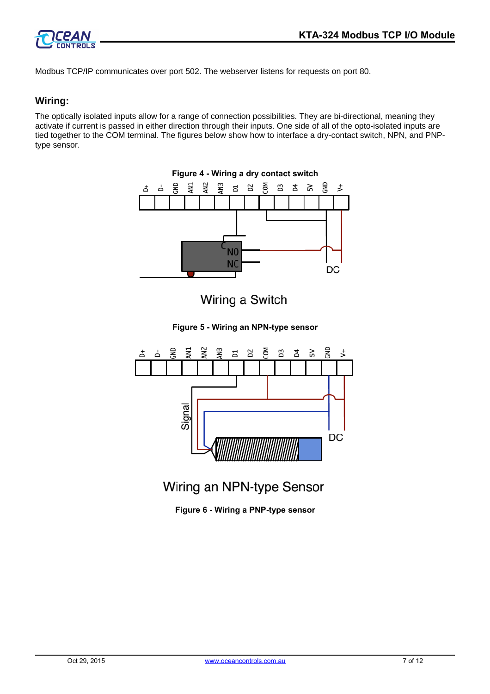

Modbus TCP/IP communicates over port 502. The webserver listens for requests on port 80.

## **Wiring:**

The optically isolated inputs allow for a range of connection possibilities. They are bi-directional, meaning they activate if current is passed in either direction through their inputs. One side of all of the opto-isolated inputs are tied together to the COM terminal. The figures below show how to interface a dry-contact switch, NPN, and PNPtype sensor.



Wiring an NPN-type Sensor

**Figure 6 - Wiring a PNP-type sensor**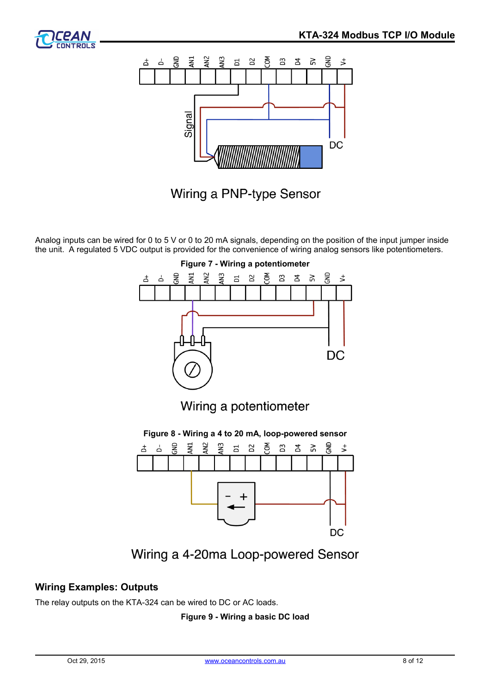



Wiring a PNP-type Sensor

Analog inputs can be wired for 0 to 5 V or 0 to 20 mA signals, depending on the position of the input jumper inside the unit. A regulated 5 VDC output is provided for the convenience of wiring analog sensors like potentiometers.



Wiring a 4-20ma Loop-powered Sensor

# **Wiring Examples: Outputs**

The relay outputs on the KTA-324 can be wired to DC or AC loads.

## **Figure 9 - Wiring a basic DC load**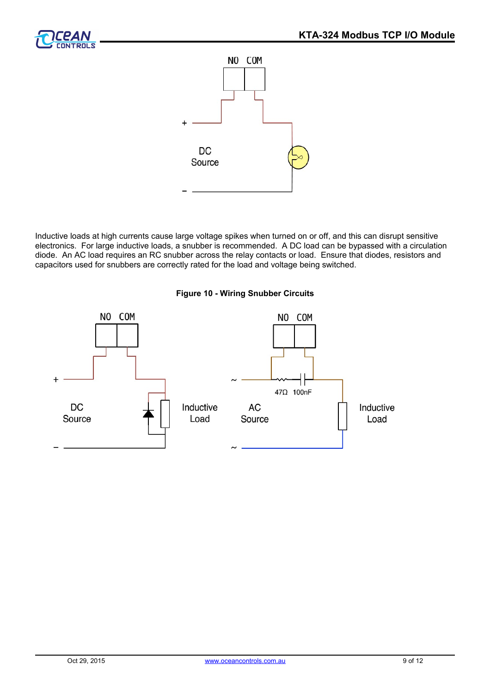



Inductive loads at high currents cause large voltage spikes when turned on or off, and this can disrupt sensitive electronics. For large inductive loads, a snubber is recommended. A DC load can be bypassed with a circulation diode. An AC load requires an RC snubber across the relay contacts or load. Ensure that diodes, resistors and capacitors used for snubbers are correctly rated for the load and voltage being switched.



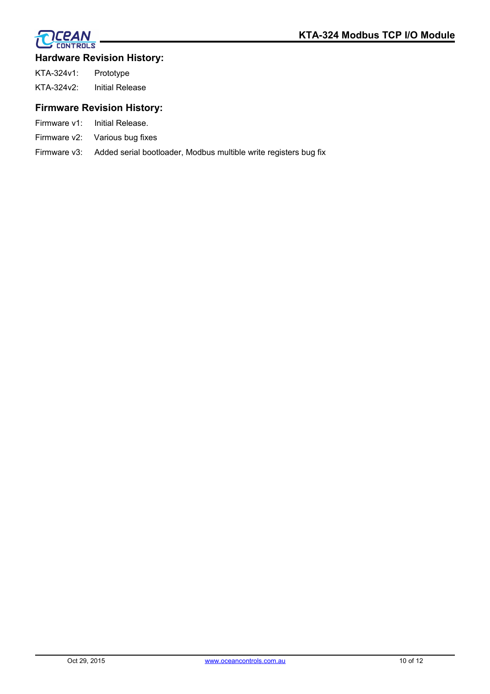

## **CPAN CONTROLS**

## **Hardware Revision History:**

| KTA-324v1: | Prototype       |
|------------|-----------------|
| KTA-324v2: | Initial Release |

# **Firmware Revision History:**

- Firmware v1: Initial Release.
- Firmware v2: Various bug fixes
- Firmware v3: Added serial bootloader, Modbus multible write registers bug fix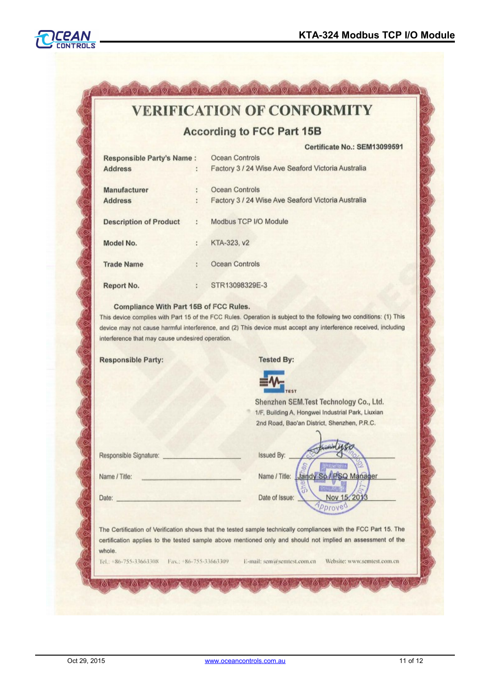$.011$ 



# **VERIFICATION OF CONFORMITY**

**According to FCC Part 15B** 

|                                  |    | Certificate No.: SEM13099591                       |
|----------------------------------|----|----------------------------------------------------|
| <b>Responsible Party's Name:</b> |    | Ocean Controls                                     |
| <b>Address</b>                   | ÷  | Factory 3 / 24 Wise Ave Seaford Victoria Australia |
| Manufacturer                     |    | Ocean Controls                                     |
| <b>Address</b>                   |    | Factory 3 / 24 Wise Ave Seaford Victoria Australia |
| <b>Description of Product</b>    | b. | Modbus TCP I/O Module                              |
| Model No.                        | ÷  | KTA-323, v2                                        |
| <b>Trade Name</b>                | s. | Ocean Controls                                     |
| Report No.                       | ÷. | STR13098329E-3                                     |

#### Compliance With Part 15B of FCC Rules.

This device complies with Part 15 of the FCC Rules. Operation is subject to the following two conditions: (1) This device may not cause harmful interference, and (2) This device must accept any interference received, including interference that may cause undesired operation.

**Responsible Party:** 

**Tested By:** 



Shenzhen SEM.Test Technology Co., Ltd. 1/F, Building A, Hongwei Industrial Park, Liuxian 2nd Road, Bao'an District, Shenzhen, P.R.C.

| Responsible Signature: |  |
|------------------------|--|
|                        |  |

Name / Title:

Issued By: Name / Title: Jandy Manager Date of Issue: Nov

Date:

The Certification of Verification shows that the tested sample technically compliances with the FCC Part 15. The certification applies to the tested sample above mentioned only and should not implied an assessment of the whole.

78

Tel.: +86-755-33663308 Fax.: +86-755-33663309

E-mail: sem@semtest.com.cn

KOX

Website: www.semtest.com.cn

761

ľδ